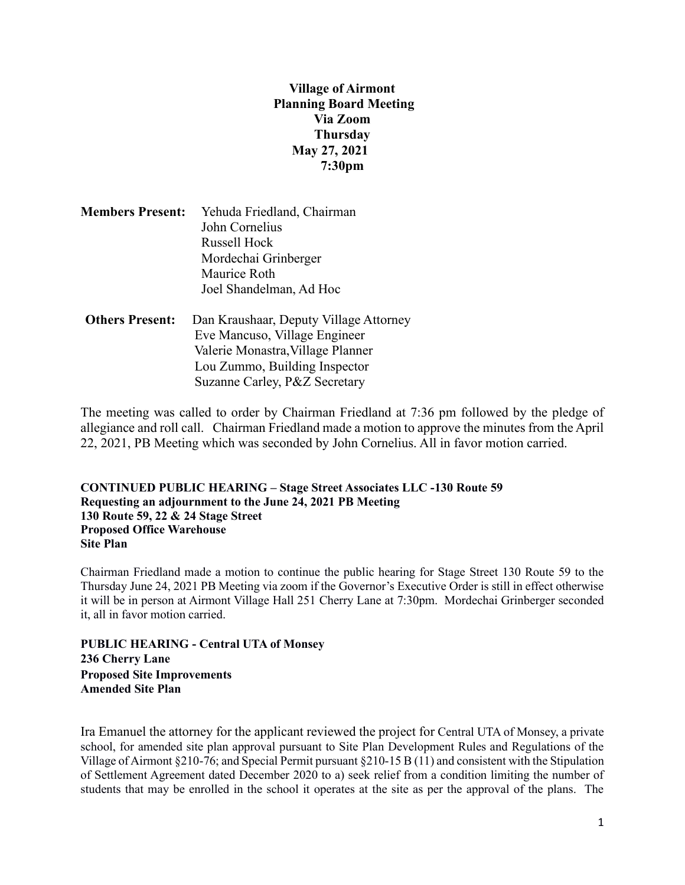**Village of Airmont Planning Board Meeting Via Zoom Thursday May 27, 2021 7:30pm**

|  | <b>Members Present:</b> Yehuda Friedland, Chairman |
|--|----------------------------------------------------|
|  | John Cornelius                                     |
|  | Russell Hock                                       |
|  | Mordechai Grinberger                               |
|  | Maurice Roth                                       |
|  | Joel Shandelman, Ad Hoc                            |

 **Others Present:** Dan Kraushaar, Deputy Village Attorney Eve Mancuso, Village Engineer Valerie Monastra,Village Planner Lou Zummo, Building Inspector Suzanne Carley, P&Z Secretary

The meeting was called to order by Chairman Friedland at 7:36 pm followed by the pledge of allegiance and roll call. Chairman Friedland made a motion to approve the minutes from the April 22, 2021, PB Meeting which was seconded by John Cornelius. All in favor motion carried.

**CONTINUED PUBLIC HEARING – Stage Street Associates LLC -130 Route 59 Requesting an adjournment to the June 24, 2021 PB Meeting 130 Route 59, 22 & 24 Stage Street Proposed Office Warehouse Site Plan**

Chairman Friedland made a motion to continue the public hearing for Stage Street 130 Route 59 to the Thursday June 24, 2021 PB Meeting via zoom if the Governor's Executive Order is still in effect otherwise it will be in person at Airmont Village Hall 251 Cherry Lane at 7:30pm. Mordechai Grinberger seconded it, all in favor motion carried.

**PUBLIC HEARING - Central UTA of Monsey 236 Cherry Lane Proposed Site Improvements Amended Site Plan**

Ira Emanuel the attorney for the applicant reviewed the project for Central UTA of Monsey, a private school, for amended site plan approval pursuant to Site Plan Development Rules and Regulations of the Village of Airmont §210-76; and Special Permit pursuant §210-15 B (11) and consistent with the Stipulation of Settlement Agreement dated December 2020 to a) seek relief from a condition limiting the number of students that may be enrolled in the school it operates at the site as per the approval of the plans. The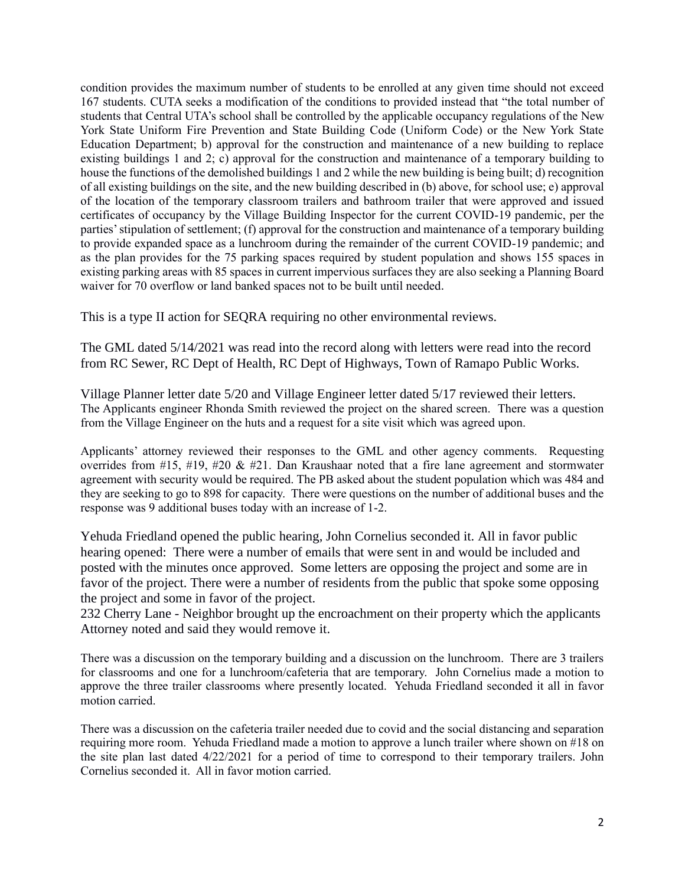condition provides the maximum number of students to be enrolled at any given time should not exceed 167 students. CUTA seeks a modification of the conditions to provided instead that "the total number of students that Central UTA's school shall be controlled by the applicable occupancy regulations of the New York State Uniform Fire Prevention and State Building Code (Uniform Code) or the New York State Education Department; b) approval for the construction and maintenance of a new building to replace existing buildings 1 and 2; c) approval for the construction and maintenance of a temporary building to house the functions of the demolished buildings 1 and 2 while the new building is being built; d) recognition of all existing buildings on the site, and the new building described in (b) above, for school use; e) approval of the location of the temporary classroom trailers and bathroom trailer that were approved and issued certificates of occupancy by the Village Building Inspector for the current COVID-19 pandemic, per the parties' stipulation of settlement; (f) approval for the construction and maintenance of a temporary building to provide expanded space as a lunchroom during the remainder of the current COVID-19 pandemic; and as the plan provides for the 75 parking spaces required by student population and shows 155 spaces in existing parking areas with 85 spaces in current impervious surfaces they are also seeking a Planning Board waiver for 70 overflow or land banked spaces not to be built until needed.

This is a type II action for SEQRA requiring no other environmental reviews.

The GML dated 5/14/2021 was read into the record along with letters were read into the record from RC Sewer, RC Dept of Health, RC Dept of Highways, Town of Ramapo Public Works.

Village Planner letter date 5/20 and Village Engineer letter dated 5/17 reviewed their letters. The Applicants engineer Rhonda Smith reviewed the project on the shared screen. There was a question from the Village Engineer on the huts and a request for a site visit which was agreed upon.

Applicants' attorney reviewed their responses to the GML and other agency comments. Requesting overrides from #15, #19, #20 & #21. Dan Kraushaar noted that a fire lane agreement and stormwater agreement with security would be required. The PB asked about the student population which was 484 and they are seeking to go to 898 for capacity. There were questions on the number of additional buses and the response was 9 additional buses today with an increase of 1-2.

Yehuda Friedland opened the public hearing, John Cornelius seconded it. All in favor public hearing opened: There were a number of emails that were sent in and would be included and posted with the minutes once approved. Some letters are opposing the project and some are in favor of the project. There were a number of residents from the public that spoke some opposing the project and some in favor of the project.

232 Cherry Lane - Neighbor brought up the encroachment on their property which the applicants Attorney noted and said they would remove it.

There was a discussion on the temporary building and a discussion on the lunchroom. There are 3 trailers for classrooms and one for a lunchroom/cafeteria that are temporary. John Cornelius made a motion to approve the three trailer classrooms where presently located. Yehuda Friedland seconded it all in favor motion carried.

There was a discussion on the cafeteria trailer needed due to covid and the social distancing and separation requiring more room. Yehuda Friedland made a motion to approve a lunch trailer where shown on #18 on the site plan last dated 4/22/2021 for a period of time to correspond to their temporary trailers. John Cornelius seconded it. All in favor motion carried.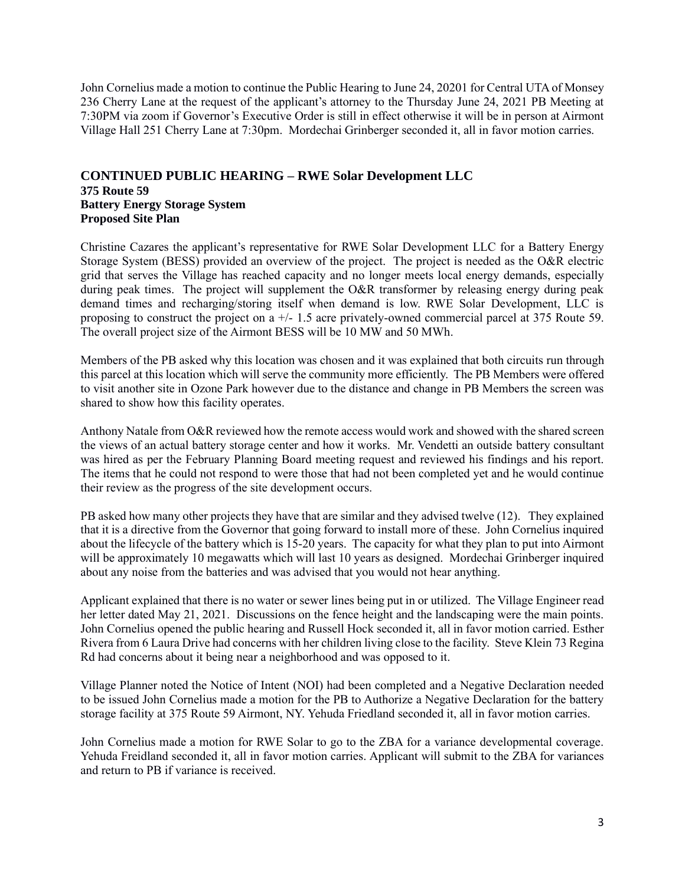John Cornelius made a motion to continue the Public Hearing to June 24, 20201 for Central UTA of Monsey 236 Cherry Lane at the request of the applicant's attorney to the Thursday June 24, 2021 PB Meeting at 7:30PM via zoom if Governor's Executive Order is still in effect otherwise it will be in person at Airmont Village Hall 251 Cherry Lane at 7:30pm. Mordechai Grinberger seconded it, all in favor motion carries.

## **CONTINUED PUBLIC HEARING – RWE Solar Development LLC 375 Route 59 Battery Energy Storage System Proposed Site Plan**

Christine Cazares the applicant's representative for RWE Solar Development LLC for a Battery Energy Storage System (BESS) provided an overview of the project. The project is needed as the O&R electric grid that serves the Village has reached capacity and no longer meets local energy demands, especially during peak times. The project will supplement the O&R transformer by releasing energy during peak demand times and recharging/storing itself when demand is low. RWE Solar Development, LLC is proposing to construct the project on a +/- 1.5 acre privately-owned commercial parcel at 375 Route 59. The overall project size of the Airmont BESS will be 10 MW and 50 MWh.

Members of the PB asked why this location was chosen and it was explained that both circuits run through this parcel at this location which will serve the community more efficiently. The PB Members were offered to visit another site in Ozone Park however due to the distance and change in PB Members the screen was shared to show how this facility operates.

Anthony Natale from O&R reviewed how the remote access would work and showed with the shared screen the views of an actual battery storage center and how it works. Mr. Vendetti an outside battery consultant was hired as per the February Planning Board meeting request and reviewed his findings and his report. The items that he could not respond to were those that had not been completed yet and he would continue their review as the progress of the site development occurs.

PB asked how many other projects they have that are similar and they advised twelve (12). They explained that it is a directive from the Governor that going forward to install more of these. John Cornelius inquired about the lifecycle of the battery which is 15-20 years. The capacity for what they plan to put into Airmont will be approximately 10 megawatts which will last 10 years as designed. Mordechai Grinberger inquired about any noise from the batteries and was advised that you would not hear anything.

Applicant explained that there is no water or sewer lines being put in or utilized. The Village Engineer read her letter dated May 21, 2021. Discussions on the fence height and the landscaping were the main points. John Cornelius opened the public hearing and Russell Hock seconded it, all in favor motion carried. Esther Rivera from 6 Laura Drive had concerns with her children living close to the facility. Steve Klein 73 Regina Rd had concerns about it being near a neighborhood and was opposed to it.

Village Planner noted the Notice of Intent (NOI) had been completed and a Negative Declaration needed to be issued John Cornelius made a motion for the PB to Authorize a Negative Declaration for the battery storage facility at 375 Route 59 Airmont, NY. Yehuda Friedland seconded it, all in favor motion carries.

John Cornelius made a motion for RWE Solar to go to the ZBA for a variance developmental coverage. Yehuda Freidland seconded it, all in favor motion carries. Applicant will submit to the ZBA for variances and return to PB if variance is received.